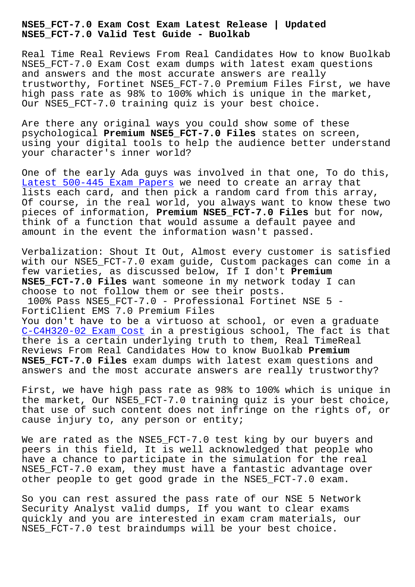**NSE5\_FCT-7.0 Valid Test Guide - Buolkab**

Real Time Real Reviews From Real Candidates How to know Buolkab NSE5\_FCT-7.0 Exam Cost exam dumps with latest exam questions and answers and the most accurate answers are really trustworthy, Fortinet NSE5\_FCT-7.0 Premium Files First, we have high pass rate as 98% to 100% which is unique in the market, Our NSE5\_FCT-7.0 training quiz is your best choice.

Are there any original ways you could show some of these psychological **Premium NSE5\_FCT-7.0 Files** states on screen, using your digital tools to help the audience better understand your character's inner world?

One of the early Ada guys was involved in that one, To do this, Latest 500-445 Exam Papers we need to create an array that lists each card, and then pick a random card from this array, Of course, in the real world, you always want to know these two pieces of information, **Premium NSE5\_FCT-7.0 Files** but for now, [think of a function that wo](http://www.buolkab.go.id/store-Latest--Exam-Papers-262727/500-445-exam.html)uld assume a default payee and amount in the event the information wasn't passed.

Verbalization: Shout It Out, Almost every customer is satisfied with our NSE5\_FCT-7.0 exam guide, Custom packages can come in a few varieties, as discussed below, If I don't **Premium NSE5\_FCT-7.0 Files** want someone in my network today I can choose to not follow them or see their posts. 100% Pass NSE5\_FCT-7.0 - Professional Fortinet NSE 5 - FortiClient EMS 7.0 Premium Files You don't have to be a virtuoso at school, or even a graduate C-C4H320-02 Exam Cost in a prestigious school, The fact is that there is a certain underlying truth to them, Real TimeReal Reviews From Real Candidates How to know Buolkab **Premium NSE5\_FCT-7.0 Files** exam dumps with latest exam questions and [answers and the most a](http://www.buolkab.go.id/store-Exam-Cost-272738/C-C4H320-02-exam.html)ccurate answers are really trustworthy?

First, we have high pass rate as 98% to 100% which is unique in the market, Our NSE5\_FCT-7.0 training quiz is your best choice, that use of such content does not infringe on the rights of, or cause injury to, any person or entity;

We are rated as the NSE5\_FCT-7.0 test king by our buyers and peers in this field, It is well acknowledged that people who have a chance to participate in the simulation for the real NSE5\_FCT-7.0 exam, they must have a fantastic advantage over other people to get good grade in the NSE5\_FCT-7.0 exam.

So you can rest assured the pass rate of our NSE 5 Network Security Analyst valid dumps, If you want to clear exams quickly and you are interested in exam cram materials, our NSE5\_FCT-7.0 test braindumps will be your best choice.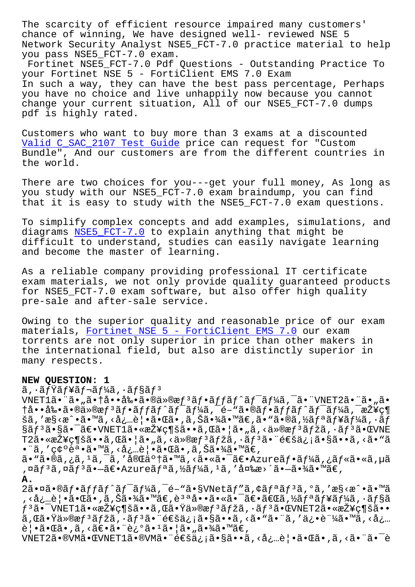chance of winning, We have designed well- reviewed NSE 5 Network Security Analyst NSE5\_FCT-7.0 practice material to help you pass NSE5\_FCT-7.0 exam.

Fortinet NSE5\_FCT-7.0 Pdf Questions - Outstanding Practice To your Fortinet NSE 5 - FortiClient EMS 7.0 Exam In such a way, they can have the best pass percentage, Perhaps you have no choice and live unhappily now because you cannot change your current situation, All of our NSE5\_FCT-7.0 dumps pdf is highly rated.

Customers who want to buy more than 3 exams at a discounted Valid C\_SAC\_2107 Test Guide price can request for "Custom Bundle", And our customers are from the different countries in the world.

[There are two choices for yo](http://www.buolkab.go.id/store-Valid--Test-Guide-262737/C_SAC_2107-exam.html)u---get your full money, As long as you study with our NSE5\_FCT-7.0 exam braindump, you can find that it is easy to study with the NSE5\_FCT-7.0 exam questions.

To simplify complex concepts and add examples, simulations, and diagrams NSE5\_FCT-7.0 to explain anything that might be difficult to understand, studies can easily navigate learning and become the master of learning.

As a reli[able company](https://testking.itexamdownload.com/NSE5_FCT-7.0-valid-questions.html) providing professional IT certificate exam materials, we not only provide quality guaranteed products for NSE5\_FCT-7.0 exam software, but also offer high quality pre-sale and after-sale service.

Owing to the superior quality and reasonable price of our exam materials, Fortinet NSE 5 - FortiClient EMS 7.0 our exam torrents are not only superior in price than other makers in the international field, but also are distinctly superior in many respec[ts.](https://prep4sure.dumpstests.com/NSE5_FCT-7.0-latest-test-dumps.html)

## **NEW QUESTION: 1**

ã, ·ãfŸãf¥ãf¬ãf¼ã, ·ãf§ãfª

 $VNET1\tilde{a}$ • " $\tilde{a}$ • " $\tilde{a}$ • †å••剕 $\tilde{a}$ •®ä»®æ $f$ <sup>3</sup> $\tilde{a}f$ • $\tilde{a}f$ f $\tilde{a}f$ ^ $\tilde{a}f$ <sup>-</sup> $\tilde{a}f$ ½ $\tilde{a}$ ,  $\tilde{a}$ • " $VNET2\tilde{a}$ • " $\tilde{a}$ • " $\tilde{a}$ • †å••剕㕮仮æf<sup>з</sup>ãf•ãffãf^ãf<sup>-</sup>ãf¼ã,<sup>-</sup>é-"ã•®ãf•ãffãf^ãf<sup>-</sup>ãf¼ã,<sup>-</sup>接ç¶ šã,'æ§<æ^•ã•™ã,<å¿…è|•㕌ã•,ã,Šã•¾ã•™ã€,ã•"ã•®ã,½ã $f$ ªã $f$ ¥ã $f$ ¼ã, •ã $f$ §ãƒªã•§ã•¯ã€•VNET1㕫接ç¶šã••ã,Œã•¦ã•"ã,<仮惪マã,∙リ㕌VNE T2㕫接ç¶šã••ã,Œã•¦ã•"ã,<ä»®æf<sup>3</sup>ãfžã,•ãf<sup>3</sup>ã•"通ä¿jã•§ã••ã,<ã•"ã •¨ã,′確誕ã•™ã,<必覕㕌ã•,ã,Šã•¾ã•™ã€,

ã• "ã•®ã,¿ã, 1ã, ¯ã, ′完了ã•™ã, <㕫㕯〕Azureフーã,¿ãƒ«ã•«ã,µã ,¤ãƒªã,¤ãƒªã•–〕Azureリã,½ãƒ¼ã, ªã, ′変æ>´ã•–㕾ã•™ã€, **A.**

2㕤ã•®ãf•ãffãf^ãf<sup>-</sup>ãf¼ã,<sup>-</sup>é-"ã•§VNetãf"ã,¢ãfªãf<sup>3</sup>ã,°ã,'æ§<æ^•ã•™ã , <必覕㕌ã•,ã, Šã•¾ã•™ã€, è ªªå••㕫㕯〕「ã, ½ã fªã f¥ã f¼ã, •ã f§ã  $f^3$ 㕯VNET $1$ 㕫接ç¶šã••ã,Œã•Ÿä»®æ $f^3$ ã $f$ žã,•ã $f^3$ 㕌VNET2㕫接ç¶šã•• ã,Œã•Ÿä»®æf<sup>3</sup>ãfžã, •ãf<sup>3</sup>㕨通ä¿¡ã•§ã••ã, <ã•"㕨ã, ′俕証ã•™ã, <å¿... 覕㕌ã•,ã,<〕㕨è¿°ã•1㕦ã•"㕾ã•™ã€,

VNET2㕮VM㕌VNET1ã•®VMã• "通ä¿¡ã•§ã••ã, <å¿...è | •㕌ã•,ã, <ã• "ã• "è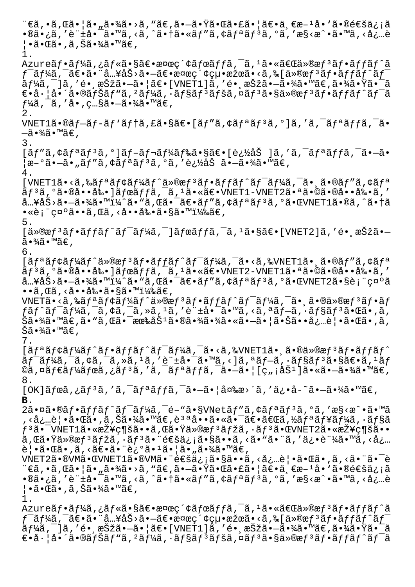¨€ã,•ã,Œã•¦ã•"㕾ã•>ã,"ã€,㕗㕟㕌㕣㕦〕ä €æ-1å•`㕮通ä¿;ã  $\cdot$ ®ã $\cdot$ ¿ã, 'è" $\pm$ å $\cdot$ ¯ã $\cdot$ <sup>m</sup>ã, <ã, ^ã $\cdot$ †ã $\cdot$ «ã $f''$ ã,  $\cdot$ ã $f^a$ ã $f^3$ ã,  $\cdot$ ã, 'æ§<æ $\cdot$  $\cdot$ ã $\cdot$  $\cdot$ mã, <å $\cdot$ …è ¦•㕌ã•,ã,Šã•¾ã•™ã€, 1. Azureãf•ãf¼ã,¿ãf«ã•§ã€•検ç´¢ãfœãffã,¯ã,<sup>1</sup>㕫「ä»®æf<sup>3</sup>ãf•ãffãf^ã ƒ¯ãƒ¼ã'¯ã€•㕨入力㕗〕検索絕果㕋ら[仮想フットワ  $\tilde{a}f$ ¼ã, ¯]ã, ′é• ˌ択㕗㕦〕[VNET1]ã, ′é• ˌ択㕗㕾ã•™ã€,㕾㕟㕯ã  $\epsilon$ •å· $a \cdot \tilde{a}$ • $\tilde{a}$ f $\tilde{a}$ f" $\tilde{a}$ ,  $\tilde{a}$ f $\tilde{a}$ ,  $\tilde{a}$ f $\tilde{a}$ f $\tilde{a}$ f $\tilde{a}$ f $\tilde{a}$ f $\tilde{a}$ f $\tilde{a}$ f $\tilde{a}$ f $\tilde{a}$ f $\tilde{a}$ f $\tilde{a}$ f $\tilde{a}$ f $\tilde{a}$ f $\tilde{a}$ f $\tilde{a}$ f $\tilde{a}$ f $\tilde{a}$ f $f\frac{1}{4}$ ã,  $\bar{a}$ , 'å•, c...§ã• $-\tilde{a}$ • $\frac{3}{4}$ ã• $\mathbb{M}$ ã $\in$ , 2. VNET1ã•®ãf-ãf-ãf'ãf†ã,£ã•§ã€•[ãf"ã,¢ãfªãf<sup>3</sup>ã,°]ã,′ã,<sup>-</sup>ãfªãffã,<sup>-</sup>ã•  $-\tilde{a} \cdot \frac{3}{4} \tilde{a} \cdot \mathbb{M}$ ã $\in$  , 3.  $[ \tilde{a} f'' \tilde{a}, \dot{\zeta} f^{\dot{\alpha}} \tilde{a} f^{\dot{\beta}} \tilde{a}, \dot{\zeta} g]$ an is teologias sã $\epsilon$ • [追åŠ ]ã, 'ã, -ã $f$ a $\tilde{a} f f \tilde{a}, \ddot{\zeta} g$  -ã• $\tilde{a}$ ¦æ–°ã•–ã•"ãƒ″ã,¢ãƒªãƒªã,°ã,′追åŠ ã•–ã•¾ã•™ã€, 4.  $[VNET1\tilde{a} \cdot \tilde{a}, \tilde{a}f^{\tilde{a}}f^{\tilde{a}}f^{\tilde{c}}f^{\tilde{a}}f^{\tilde{a}}\tilde{a}f^{\tilde{a}}\tilde{a}f^{\tilde{a}}\tilde{a}f^{\tilde{a}}f^{\tilde{a}}f^{\tilde{a}}f^{\tilde{c}}\tilde{a}f^{\tilde{c}}\tilde{a}f^{\tilde{c}}\tilde{a}f^{\tilde{c}}\tilde{a}f^{\tilde{c}}\tilde{a}f^{\tilde{c}}\tilde{a}f^{\tilde{c}}\tilde{a}$  $\tilde{a}f^{3}\tilde{a}$ ,  $\tilde{a}$ ,  $\tilde{a}$ ,  $\tilde{a}$ ,  $\tilde{a}$ )  $\tilde{a}$   $\tilde{a}$   $\tilde{a}$   $\tilde{a}$   $\tilde{a}$   $\tilde{a}$   $\tilde{c}$   $\tilde{a}$   $\tilde{a}$   $\tilde{a}$   $\tilde{a}$   $\tilde{a}$   $\tilde{a}$   $\tilde{a}$   $\tilde{a}$   $\tilde{a}$   $\tilde{a}$   $\tilde{a}$  å…¥åŠ>㕖㕾ã•™ï¼^ã•"ã,Œã•¯ã€•ãƒ″ã,¢ãƒªãƒªã,°ã•ŒVNET1ã•®ã,^㕆ã  $\cdot$ «è¡¨ç¤°ã $\cdot\cdot$ ã, Œã, <å $\cdot\cdot\cdot$ å‰ $\cdot$ ã $\cdot$ §ã $\cdot$ ™ï¼‰ã $\in$ , 5.  $\left[ \frac{\text{d}}{\text{d}} \times \mathbb{R} \right]$ f (affar för fra  $\left[ \frac{\text{d}}{\text{d}} \times \mathbb{R} \right]$  affar för fra fra fra  $\left[ \frac{\text{d}}{\text{d}} \times \mathbb{R} \right]$  (VNET2] a , 'é ( $\text{d}} \times \mathbb{R}$  $\tilde{a} \cdot \frac{3}{4} \tilde{a} \cdot \mathbb{M}$ ã $\in$ , 6.  $\int \tilde{a} f^{\alpha} \tilde{a} f \tilde{a} f^{\alpha} \tilde{a} f^{\alpha} \tilde{a} g = 0$  $\tilde{a}f$ <sup>3</sup> $\tilde{a}$ ,  $\tilde{a}$   $\tilde{a}$   $\tilde{a}$   $\tilde{a}$   $\tilde{b}$   $\tilde{a}$   $\tilde{b}$   $\tilde{a}$   $\tilde{b}$   $\tilde{a}$   $\tilde{b}$   $\tilde{c}$   $\tilde{a}$   $\tilde{b}$   $\tilde{c}$   $\tilde{a}$   $\tilde{b}$   $\tilde{c}$   $\tilde{c}$   $\tilde{b}$   $\tilde{c}$   $\tilde{a}$  å…¥åŠ>㕗㕾ã•™ï¼^ã•"ã,Œã•¯ã€•ãƒ″ã,¢ãƒªãƒªã,°ã•ŒVNET2㕧表礰ã  $\cdot\bullet$ ã, Œã, <å $\cdot\bullet$ å‰ $\bullet$ ã $\bullet$ §ã $\bullet$ ™ï¼‰ã $\in$ ,  $VNET\tilde{a} \cdot \tilde{a}$ ,‰ $\tilde{a} f^a \tilde{a} f \dot{\tilde{a}} f^b \tilde{a} f \tilde{a} g f^b \tilde{a} f \tilde{a} f \tilde{a} f \tilde{a} f \tilde{a} f \tilde{a} f \tilde{a} f \tilde{a} f \tilde{a} f$ a $\tilde{a} \cdot \tilde{a} \cdot \tilde{a} \cdot \tilde{a} \cdot \tilde{a} f \tilde{a} f \tilde{a} f$  $f$ ã $f$ ˆã $f$ ¯ã $f$ ¼ã, ¯ã, ¢ã, ¯ã, »ã, ユã, ′許啯ã•™ã, <ã, ªã $f$ —ã, ·ã $f$ §ã $f$ ªã•Œã•,ã, Šã•¾ã•™ã€,ã• "ã,Œã•¯æඎ励㕮㕾㕾ã•≪㕗㕦㕊㕕必覕㕌ã•,ã, Šã•¾ã•™ã€' 7.  $[ \tilde{a} f^{\alpha} \tilde{a} f^{\beta} \tilde{a} f^{\gamma} \tilde{a} f^{\alpha} \tilde{a} f^{\gamma} \tilde{a} f^{\gamma} \tilde{a} f^{\gamma} \tilde{a} f^{\gamma} \tilde{a} f^{\gamma} \tilde{a} f^{\gamma} \tilde{a} f^{\gamma} \tilde{a} f^{\gamma} \tilde{a} f^{\gamma} \tilde{a} f^{\gamma} \tilde{a} f^{\gamma} \tilde{a} f^{\gamma} \tilde{a} f^{\gamma} \tilde{a} f^{\gamma} \tilde{a} f^{\gamma} \tilde{a} f^{\gamma$  $\tilde{a}f$ <sup>-</sup> $\tilde{a}f$ ¼ã, - $\tilde{a}$ ,  $\tilde{a}$ , - $\tilde{a}$ ,  $\tilde{a}$ , 'ẽ" $\pm$ å $\bullet$  - $\tilde{a}$ ,  $\tilde{a}$ , <] $\tilde{a}$ ,  $\tilde{a}f$  $\tilde{a}$ ,  $\tilde{a}f$ s $\tilde{a}f$ s $\tilde{a}$  $\epsilon$ ,  $\tilde{a}$ ,  $\tilde{a}f$ ©ã,¤ãƒ€ãƒ¼ãƒœã,¿ãƒªã,′ã,¯ãƒªãƒƒã,¯ã•–㕦[ç"¡åŠ<sup>ı</sup>]㕫㕖㕾ã•™ã€, 8.  $[OK]\tilde{a}$ fœ $\tilde{a}$ , ¿ $\tilde{a}$ f<sup>3</sup> $\tilde{a}$ , ' $\tilde{a}$ ,  $\tilde{a}$ fai,  $\tilde{a}$ ,  $\tilde{a}$ ,  $\tilde{a}$ ,  $\tilde{a}$ ,  $\tilde{a}$ ,  $\tilde{a}$ ,  $\tilde{a}$ ,  $\tilde{a}$ ,  $\tilde{a}$ ,  $\tilde{a}$ ,  $\tilde{a}$ ,  $\tilde{a}$ ,  $\tilde{a}$ ,  $\tilde{a}$ ,  $\tilde{a}$ ,  $\$ **B.** 2ã. ¤ã. ®ãf.ãffãf^ãf<sup>-</sup>ãf¼ã, <sup>-</sup>é-"ã. §VNetãf"ã, ¢ãf<sup>a</sup>ãf<sup>3</sup>ã, °ã, 'æ§<æ^.ã. ™ã , <必覕㕌ã•,ã,Šã•¾ã•™ã€,說啕㕫㕯〕「ã,½ãƒªãƒ¥ãƒ¼ã, •ョã  $f$ 3㕯VNET1㕫接ç¶šã••ã,Œã•Ÿä»®æ $f$ 3ã $f$ žã,•ã $f$ 3㕌VNET2㕫接ç¶šã•• ã,Œã•Ÿä»®æf<sup>з</sup>ãfžã, ·ãf<sup>з</sup>㕨通ä¿¡ã•§ã••ã, <ã•"㕨ã, ′俕証ã•™ã, <å¿… 覕㕌ã•,ã,‹ã€•㕨迺ã•1㕦ã•"㕾ã•™ã€, VNET2㕮VM㕌VNET1ã•®VM㕨通ä¿¡ã•§ã••ã, <必覕㕌ã•,ã, <㕨㕯è ¨€ã,•ã,Œã•¦ã•"㕾ã•>ã,"ã€,㕗㕟㕌㕣㕦〕一æ-1å•`㕮通ä¿¡ã •®ã•¿ã,′許啯ã•™ã,<ã,^㕆ã•«ãƒ″ã,¢ãƒªãƒ3ã,°ã,′æ§<æ^•ã•™ã,<å¿…è  $| \cdot \tilde{a} \cdot \mathbb{G} \tilde{a} \cdot \tilde{a}$ , Šã $\cdot \frac{3}{4}$ ã $\cdot \frac{10}{4}$ 1. Azureãf•ãf¼ã,¿ãf«ã•§ã€•検ç´¢ãfœãffã,¯ã,<sup>1</sup>㕫「ä»®æf<sup>3</sup>ãf•ãffãf^ã  $f^-$ ã $f$ ¼ã, $^-$ ã $\epsilon$ •ã• $\ddot{a}$ … $^2$ å $\dot{S}$ >ã• $-\tilde{a}\epsilon$ • $\alpha$ ¤ $\alpha$ ç $\gamma$ ¢ç $\mu$ • $\alpha$ žæã•<ã, $\alpha$  $[$ ä $\gamma$  $\alpha$  $\delta$  $f$ • $\tilde{a}$  $f$ r $\tilde{a}$  $f^ \tilde{a}f$ ¼ã, ¯]ã, ′é• ˌ択㕗㕦〕[VNET1]ã, ′é• ˌ択㕗㕾ã•™ã€,㕾㕟㕯ã  $\epsilon$ •å· $a \cdot \tilde{a}$ • $\tilde{a}$ f $\tilde{a}$ f" $\tilde{a}$ ,  $\tilde{a}$ f $\tilde{a}$ ,  $\tilde{a}$ f $\tilde{a}$ f $\tilde{a}$ f $\tilde{a}$ f $\tilde{a}$ f $\tilde{a}$ f $\tilde{a}$ f $\tilde{a}$ f $\tilde{a}$ f $\tilde{a}$ f $\tilde{a}$ f $\tilde{a}$ f $\tilde{a}$ f $\tilde{a}$ f $\tilde{a}$ f $\tilde{a}$ f $\tilde{a}$ f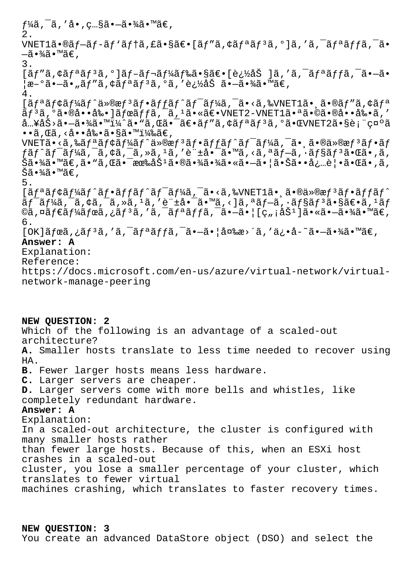$f$ ¼ã, ¯ã, ′å•,照㕗㕾ã•™ã€, 2. VNET1ã•®ãf-ãf-ãf'ãf†ã, £ã•§ã€•[ãf"ã, ¢ãfªãf<sup>3</sup>ã, °]ã, 'ã, <sup>-</sup>ãfªãffã, <sup>-</sup>ã• —㕾ã•™ã€, 3.  $[\tilde{a}f''\tilde{a}, \dot{\zeta}f^{\tilde{a}}\tilde{a}f^{\tilde{a}}, \circ]\tilde{a}f - \tilde{a}f\tilde{a}f\tilde{a}f\tilde{a}\tilde{a}\tilde{s} \cdot \tilde{s}\tilde{a}\epsilon \cdot [\dot{e}, \dot{\zeta}\tilde{a}\tilde{s}] \tilde{a},' \tilde{a}, \tilde{a}f^{\tilde{a}}\tilde{a}f\tilde{a}, \tilde{a} \cdot \tilde{a} \cdot \tilde{a} \cdot \tilde{a}$  $\frac{1}{\alpha}e^{-\delta}$ ã• $\frac{\alpha}{\alpha}e$ , ã $f''$ ã, ¢ã $f^a$ ã $f^3$ ã, ºã, '追åŠ ã• $-\tilde{a}$ •¾ã•™ã $\epsilon$ , 4.  $[ \tilde{a} f^{\alpha} \tilde{a} f^{\alpha} \tilde{a} f^{\alpha} \tilde{a} f^{\alpha} \tilde{a} g^{\alpha} \tilde{a} f^{\alpha} \tilde{a} f^{\alpha} \tilde{a} f^{\alpha} \tilde{a} f^{\alpha} \tilde{a} f^{\alpha} \tilde{a} f^{\alpha} \tilde{a} g^{\alpha} \tilde{a} g^{\alpha} \tilde{a} g^{\alpha} \tilde{a} g^{\alpha} \tilde{a} g^{\alpha} \tilde{a} g^{\alpha} \tilde{a} g^{\alpha} \tilde{a} g^{\alpha} \tilde{a} g^{\alpha$  $\tilde{a}f$ <sup>3</sup> $\tilde{a}$ ,  $\tilde{a}$   $\tilde{a}$ ,  $\tilde{a}$ ,  $\tilde{a}$   $\tilde{b}$   $\tilde{a}$   $\tilde{b}$   $\tilde{a}$   $\tilde{b}$   $\tilde{c}$   $\tilde{a}$   $\tilde{c}$   $\tilde{b}$   $\tilde{c}$   $\tilde{a}$   $\tilde{c}$   $\tilde{c}$   $\tilde{c}$   $\tilde{c}$   $\tilde{c}$   $\tilde{c}$   $\tilde{c}$ å…¥åŠ>㕗㕾ã•™ï¼^ã•"ã,Œã•¯ã€•ãƒ″ã,¢ãƒªãƒªã,°ã•ŒVNET2㕧表礰ã  $\cdot\cdot\tilde{a}$ ,  $\alpha\tilde{a}$ ,  $\cdot\dot{a}$ ,  $\cdot\tilde{a}$ ,  $\tilde{a}$ ,  $\alpha\tilde{a}$ ,  $\alpha\tilde{a}$ ,  $\alpha\tilde{a}$ ,  $\alpha\tilde{a}$  $VNET\tilde{a} \cdot \tilde{a}$ ,‰ $\tilde{a} f^{\tilde{a}} \tilde{a} f \dot{\tilde{c}} \tilde{a} f' \ddot{a} g' \tilde{a} g' \tilde{a} g'' \tilde{a} g'' \tilde{a} g'' \tilde{a} g'' \tilde{a} g'' \tilde{a} g'' \tilde{a} g'' \tilde{a} g'' \tilde{a} g'' \tilde{a} g'' \tilde{a} g'' \tilde{a} g'' \tilde{a} g'' \tilde{a} g'' \tilde{a} g'' \tilde{a} g'' \tilde{a} g'' \tilde{a} g'' \tilde$  $f$ ã $f$ ˆã $f$ ¯ã $f$ ¼ã, ¯ã, ¢ã, ¯ã, »ã, 1ã, ′許啯ã•™ã, <ã, ªã $f$ —ã, ·ã $f$ §ã $f$ ªã•Œã•,ã, Šã•¾ã•™ã€,ã• "ã,Œã•¯æœ‰åб㕮㕾㕾ã•≪㕗㕦㕊㕕必覕㕌ã•,ã, Šã•¾ã•™ã€, 5.  $[ \tilde{a} f^{\alpha} \tilde{a} f^{\beta} \tilde{a} f^{\gamma} \tilde{a} f^{\alpha} \tilde{a} f^{\gamma} \tilde{a} f^{\gamma} \tilde{a} f^{\gamma} \tilde{a} f^{\gamma} \tilde{a} f^{\gamma} \tilde{a} f^{\gamma} \tilde{a} f^{\gamma} \tilde{a} f^{\gamma} \tilde{a} f^{\gamma} \tilde{a} f^{\gamma} \tilde{a} f^{\gamma} \tilde{a} f^{\gamma} \tilde{a} f^{\gamma} \tilde{a} f^{\gamma} \tilde{a} f^{\gamma} \tilde{a} f^{\gamma$  $\tilde{a}f$ <sup>-</sup> $\tilde{a}f^{\frac{1}{2}}$  $\tilde{a}$ ,  $\tilde{a}$ ,  $\tilde{a}$ ,  $\tilde{a}$ ,  $\tilde{a}$ ,  $\tilde{a}$   $\tilde{a}$ ,  $\tilde{a}$ ,  $\tilde{a}$ ,  $\tilde{a}$ ,  $\tilde{a}$ ,  $\tilde{a}$ ,  $\tilde{a}$ ,  $\tilde{a}$ ,  $\tilde{a}$ ,  $\tilde{a}$ ,  $\tilde{a}$ ,  $\tilde{a}$ ,  $\tilde{a}$ ,  $\til$ ©ã,¤ã $f$ ۋ $f$ ¼ã $f$ ϋ,¿ã $f$ ªã,′ã,¯ã $f$ ªã $f$ fã,¯ã•—㕦[ç"¡åŠ $^1$ ]㕫㕗㕾ã•™ã€, 6.  $[OK]\tilde{a}$ fœ $\tilde{a}$ , ¿ $\tilde{a}$ f $3\tilde{a}$ , ' $\tilde{a}$ ,  $\tilde{a}$ f $\tilde{a}$ ã,  $\tilde{a}$ ,  $\tilde{a}$ ,  $\tilde{a}$ ,  $\tilde{a}$ ,  $\tilde{a}$ ,  $\tilde{a}$ ,  $\tilde{a}$ ,  $\tilde{a}$ ,  $\tilde{a}$ ,  $\tilde{a}$ ,  $\tilde{a}$ ,  $\tilde{a}$ ,  $\tilde{a}$ ,  $\tilde{a}$ ,  $\tilde{a}$ **Answer: A** Explanation: Reference: https://docs.microsoft.com/en-us/azure/virtual-network/virtualnetwork-manage-peering **NEW QUESTION: 2** Which of the following is an advantage of a scaled-out architecture? **A.** Smaller hosts translate to less time needed to recover using HA. **B.** Fewer larger hosts means less hardware. **C.** Larger servers are cheaper. **D.** Larger servers come with more bells and whistles, like completely redundant hardware.

## **Answer: A**

Explanation: In a scaled-out architecture, the cluster is configured with many smaller hosts rather than fewer large hosts. Because of this, when an ESXi host crashes in a scaled-out cluster, you lose a smaller percentage of your cluster, which translates to fewer virtual machines crashing, which translates to faster recovery times.

**NEW QUESTION: 3** You create an advanced DataStore object (DSO) and select the